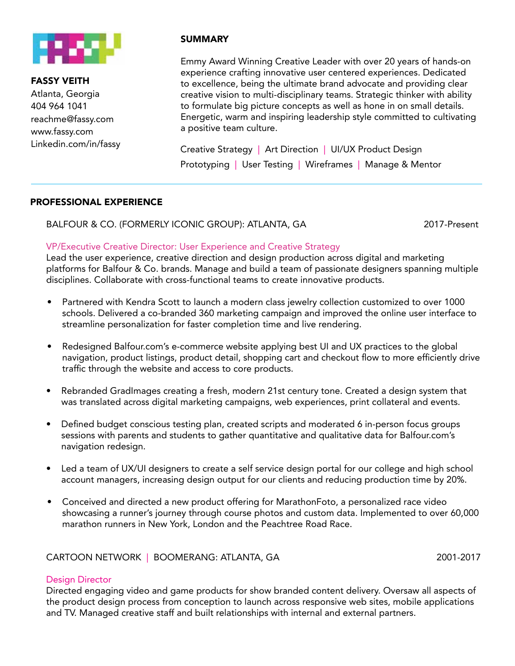

FASSY VEITH Atlanta, Georgia 404 964 1041 reachme@fassy.com www.fassy.com

# SUMMARY

Emmy Award Winning Creative Leader with over 20 years of hands-on experience crafting innovative user centered experiences. Dedicated to excellence, being the ultimate brand advocate and providing clear creative vision to multi-disciplinary teams. Strategic thinker with ability to formulate big picture concepts as well as hone in on small details. Energetic, warm and inspiring leadership style committed to cultivating a positive team culture.

Linkedin.com/in/fassy Creative Strategy | Art Direction | UI/UX Product Design Prototyping | User Testing | Wireframes | Manage & Mentor

#### PROFESSIONAL EXPERIENCE

BALFOUR & CO. (FORMERLY ICONIC GROUP): ATLANTA, GA 2017-Present

#### VP/Executive Creative Director: User Experience and Creative Strategy

Lead the user experience, creative direction and design production across digital and marketing platforms for Balfour & Co. brands. Manage and build a team of passionate designers spanning multiple disciplines. Collaborate with cross-functional teams to create innovative products.

- Partnered with Kendra Scott to launch a modern class jewelry collection customized to over 1000 schools. Delivered a co-branded 360 marketing campaign and improved the online user interface to streamline personalization for faster completion time and live rendering.
- Redesigned Balfour.com's e-commerce website applying best UI and UX practices to the global navigation, product listings, product detail, shopping cart and checkout flow to more efficiently drive traffic through the website and access to core products.
- Rebranded GradImages creating a fresh, modern 21st century tone. Created a design system that was translated across digital marketing campaigns, web experiences, print collateral and events.
- Defined budget conscious testing plan, created scripts and moderated 6 in-person focus groups sessions with parents and students to gather quantitative and qualitative data for Balfour.com's navigation redesign.
- Led a team of UX/UI designers to create a self service design portal for our college and high school account managers, increasing design output for our clients and reducing production time by 20%.
- Conceived and directed a new product offering for MarathonFoto, a personalized race video showcasing a runner's journey through course photos and custom data. Implemented to over 60,000 marathon runners in New York, London and the Peachtree Road Race.

# CARTOON NETWORK | BOOMERANG: ATLANTA, GA 2001-2017

### Design Director

Directed engaging video and game products for show branded content delivery. Oversaw all aspects of the product design process from conception to launch across responsive web sites, mobile applications and TV. Managed creative staff and built relationships with internal and external partners.